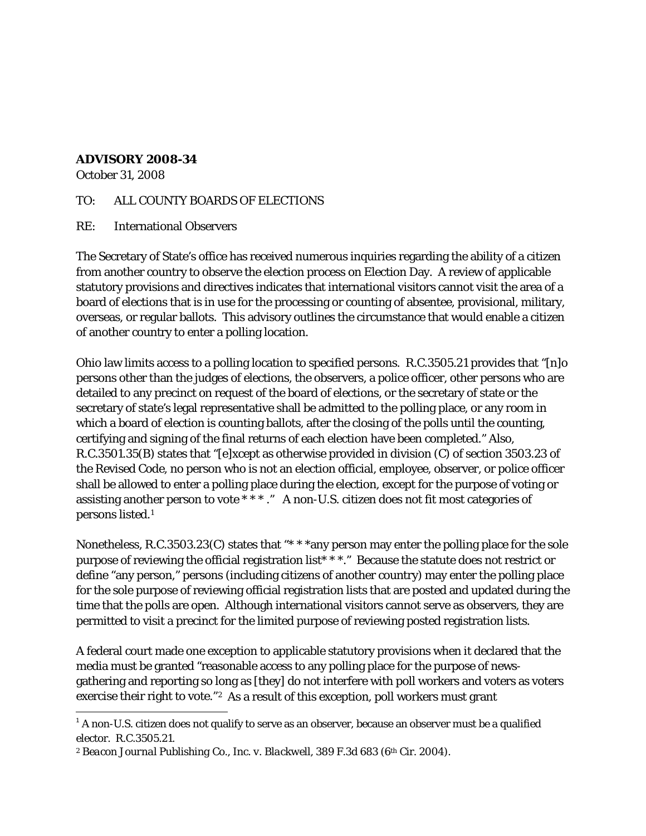## **ADVISORY 2008-34**

October 31, 2008

## TO: ALL COUNTY BOARDS OF ELECTIONS

RE: International Observers

The Secretary of State's office has received numerous inquiries regarding the ability of a citizen from another country to observe the election process on Election Day. A review of applicable statutory provisions and directives indicates that international visitors cannot visit the area of a board of elections that is in use for the processing or counting of absentee, provisional, military, overseas, or regular ballots. This advisory outlines the circumstance that would enable a citizen of another country to enter a polling location.

Ohio law limits access to a polling location to specified persons. R.C.3505.21 provides that "[n]o persons other than the judges of elections, the observers, a police officer, other persons who are detailed to any precinct on request of the board of elections, or the secretary of state or the secretary of state's legal representative shall be admitted to the polling place, or any room in which a board of election is counting ballots, after the closing of the polls until the counting, certifying and signing of the final returns of each election have been completed." Also, R.C.3501.35(B) states that "[e]xcept as otherwise provided in division (C) of section 3503.23 of the Revised Code, no person who is not an election official, employee, observer, or police officer shall be allowed to enter a polling place during the election, except for the purpose of voting or assisting another person to vote \* \* \* ." A non-U.S. citizen does not fit most categories of persons listed.[1](#page-0-0) 

Nonetheless, R.C.3503.23(C) states that "\*\*\*any person may enter the polling place for the sole purpose of reviewing the official registration list\* \* \*." Because the statute does not restrict or define "any person," persons (including citizens of another country) may enter the polling place for the sole purpose of reviewing official registration lists that are posted and updated during the time that the polls are open. Although international visitors cannot serve as observers, they are permitted to visit a precinct for the limited purpose of reviewing posted registration lists.

A federal court made one exception to applicable statutory provisions when it declared that the media must be granted "reasonable access to any polling place for the purpose of newsgathering and reporting so long as [they] do not interfere with poll workers and voters as voters exercise their right to vote."<sup>2</sup> As a result of this exception, poll workers must grant

<span id="page-0-0"></span><sup>&</sup>lt;sup>1</sup> A non-U.S. citizen does not qualify to serve as an observer, because an observer must be a qualified elector. R.C.3505.21.

<span id="page-0-1"></span><sup>&</sup>lt;sup>2</sup> Beacon Journal Publishing Co., Inc. v. Blackwell, 389 F.3d 683 (6<sup>th</sup> Cir. 2004).